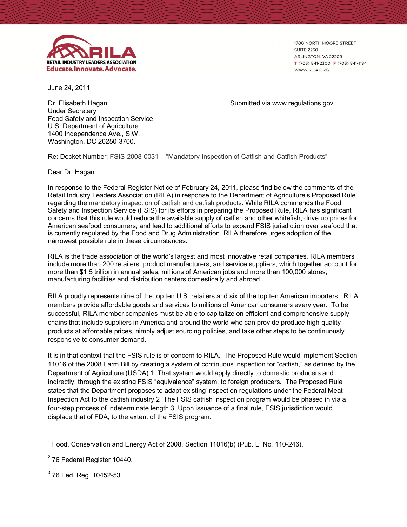

1700 NORTH MOORE STREET **SUITE 2250** ARLINGTON, VA 22209 T (703) 841-2300 F (703) 841-1184 WWW.RILA.ORG

June 24, 2011

Dr. Elisabeth Hagan Nagan Submitted via www.regulations.gov Under Secretary Food Safety and Inspection Service U.S. Department of Agriculture 1400 Independence Ave., S.W. Washington, DC 20250-3700.

Re: Docket Number: FSIS-2008-0031 – "Mandatory Inspection of Catfish and Catfish Products"

Dear Dr. Hagan:

In response to the Federal Register Notice of February 24, 2011, please find below the comments of the Retail Industry Leaders Association (RILA) in response to the Department of Agriculture's Proposed Rule regarding the mandatory inspection of catfish and catfish products. While RILA commends the Food Safety and Inspection Service (FSIS) for its efforts in preparing the Proposed Rule, RILA has significant concerns that this rule would reduce the available supply of catfish and other whitefish, drive up prices for American seafood consumers, and lead to additional efforts to expand FSIS jurisdiction over seafood that is currently regulated by the Food and Drug Administration. RILA therefore urges adoption of the narrowest possible rule in these circumstances.

RILA is the trade association of the world's largest and most innovative retail companies. RILA members include more than 200 retailers, product manufacturers, and service suppliers, which together account for more than \$1.5 trillion in annual sales, millions of American jobs and more than 100,000 stores, manufacturing facilities and distribution centers domestically and abroad.

RILA proudly represents nine of the top ten U.S. retailers and six of the top ten American importers. RILA members provide affordable goods and services to millions of American consumers every year. To be successful, RILA member companies must be able to capitalize on efficient and comprehensive supply chains that include suppliers in America and around the world who can provide produce high-quality products at affordable prices, nimbly adjust sourcing policies, and take other steps to be continuously responsive to consumer demand.

It is in that context that the FSIS rule is of concern to RILA. The Proposed Rule would implement Section 11016 of the 2008 Farm Bill by creating a system of continuous inspection for "catfish," as defined by the Department of Agriculture (USDA).1 That system would apply directly to domestic producers and indirectly, through the existing FSIS "equivalence" system, to foreign producers. The Proposed Rule states that the Department proposes to adapt existing inspection regulations under the Federal Meat Inspection Act to the catfish industry.2 The FSIS catfish inspection program would be phased in via a four-step process of indeterminate length.3 Upon issuance of a final rule, FSIS jurisdiction would displace that of FDA, to the extent of the FSIS program.

 $\overline{a}$  $1$  Food, Conservation and Energy Act of 2008, Section 11016(b) (Pub. L. No. 110-246).

 $\overline{a}$  $2$  76 Federal Register 10440.

 $^3$  76 Fed. Reg. 10452-53.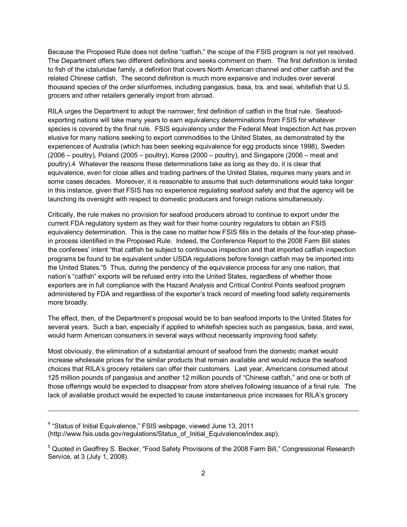Because the Proposed Rule does not define "catfish," the scope of the FSIS program is not yet resolved. The Department offers two different definitions and seeks comment on them. The first definition is limited to fish of the ictaluridae family, a definition that covers North American channel and other catfish and the related Chinese catfish. The second definition is much more expansive and includes over several thousand species of the order siluriformes, including pangasius, basa, tra, and swai, whitefish that U.S. grocers and other retailers generally import from abroad.

RILA urges the Department to adopt the narrower, first definition of catfish in the final rule. Seafoodexporting nations will take many years to earn equivalency determinations from FSIS for whatever species is covered by the final rule. FSIS equivalency under the Federal Meat Inspection Act has proven elusive for many nations seeking to export commodities to the United States, as demonstrated by the experiences of Australia (which has been seeking equivalence for egg products since 1998), Sweden (2006 – poultry), Poland (2005 – poultry), Korea (2000 – poultry), and Singapore (2006 – meat and poultry).4 Whatever the reasons these determinations take as long as they do, it is clear that equivalence, even for close allies and trading partners of the United States, requires many years and in some cases decades. Moreover, it is reasonable to assume that such determinations would take longer in this instance, given that FSIS has no experience regulating seafood safety and that the agency will be launching its oversight with respect to domestic producers and foreign nations simultaneously.

Critically, the rule makes no provision for seafood producers abroad to continue to export under the current FDA regulatory system as they wait for their home country regulators to obtain an FSIS equivalency determination. This is the case no matter how FSIS fills in the details of the four-step phasein process identified in the Proposed Rule. Indeed, the Conference Report to the 2008 Farm Bill states the conferees' intent "that catfish be subject to continuous inspection and that imported catfish inspection programs be found to be equivalent under USDA regulations before foreign catfish may be imported into the United States."5 Thus, during the pendency of the equivalence process for any one nation, that nation's "catfish" exports will be refused entry into the United States, regardless of whether those exporters are in full compliance with the Hazard Analysis and Critical Control Points seafood program administered by FDA and regardless of the exporter's track record of meeting food safety requirements more broadly.

The effect, then, of the Department's proposal would be to ban seafood imports to the United States for several years. Such a ban, especially if applied to whitefish species such as pangasius, basa, and swai, would harm American consumers in several ways without necessarily improving food safety.

Most obviously, the elimination of a substantial amount of seafood from the domestic market would increase wholesale prices for the similar products that remain available and would reduce the seafood choices that RILA's grocery retailers can offer their customers. Last year, Americans consumed about 125 million pounds of pangasius and another 12 million pounds of "Chinese catfish," and one or both of those offerings would be expected to disappear from store shelves following issuance of a final rule. The lack of available product would be expected to cause instantaneous price increases for RILA's grocery

 $\overline{a}$ 

<sup>&</sup>lt;sup>4</sup> "Status of Initial Equivalence," FSIS webpage, viewed June 13, 2011 (http://www.fsis.usda.gov/regulations/Status\_of\_Initial\_Equivalence/index.asp).

<sup>&</sup>lt;sup>5</sup> Quoted in Geoffrey S. Becker, "Food Safety Provisions of the 2008 Farm Bill," Congressional Research Service, at 3 (July 1, 2008).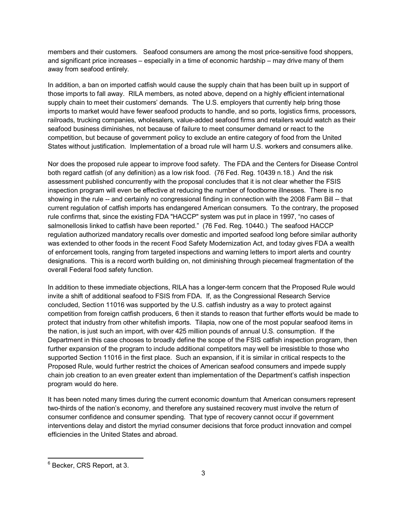members and their customers. Seafood consumers are among the most price-sensitive food shoppers, and significant price increases – especially in a time of economic hardship – may drive many of them away from seafood entirely.

In addition, a ban on imported catfish would cause the supply chain that has been built up in support of those imports to fall away. RILA members, as noted above, depend on a highly efficient international supply chain to meet their customers' demands. The U.S. employers that currently help bring those imports to market would have fewer seafood products to handle, and so ports, logistics firms, processors, railroads, trucking companies, wholesalers, value-added seafood firms and retailers would watch as their seafood business diminishes, not because of failure to meet consumer demand or react to the competition, but because of government policy to exclude an entire category of food from the United States without justification. Implementation of a broad rule will harm U.S. workers and consumers alike.

Nor does the proposed rule appear to improve food safety. The FDA and the Centers for Disease Control both regard catfish (of any definition) as a low risk food. (76 Fed. Reg. 10439 n.18.) And the risk assessment published concurrently with the proposal concludes that it is not clear whether the FSIS inspection program will even be effective at reducing the number of foodborne illnesses. There is no showing in the rule -- and certainly no congressional finding in connection with the 2008 Farm Bill -- that current regulation of catfish imports has endangered American consumers. To the contrary, the proposed rule confirms that, since the existing FDA "HACCP" system was put in place in 1997, "no cases of salmonellosis linked to catfish have been reported." (76 Fed. Reg. 10440.) The seafood HACCP regulation authorized mandatory recalls over domestic and imported seafood long before similar authority was extended to other foods in the recent Food Safety Modernization Act, and today gives FDA a wealth of enforcement tools, ranging from targeted inspections and warning letters to import alerts and country designations. This is a record worth building on, not diminishing through piecemeal fragmentation of the overall Federal food safety function.

In addition to these immediate objections, RILA has a longer-term concern that the Proposed Rule would invite a shift of additional seafood to FSIS from FDA. If, as the Congressional Research Service concluded, Section 11016 was supported by the U.S. catfish industry as a way to protect against competition from foreign catfish producers, 6 then it stands to reason that further efforts would be made to protect that industry from other whitefish imports. Tilapia, now one of the most popular seafood items in the nation, is just such an import, with over 425 million pounds of annual U.S. consumption. If the Department in this case chooses to broadly define the scope of the FSIS catfish inspection program, then further expansion of the program to include additional competitors may well be irresistible to those who supported Section 11016 in the first place. Such an expansion, if it is similar in critical respects to the Proposed Rule, would further restrict the choices of American seafood consumers and impede supply chain job creation to an even greater extent than implementation of the Department's catfish inspection program would do here.

It has been noted many times during the current economic downturn that American consumers represent two-thirds of the nation's economy, and therefore any sustained recovery must involve the return of consumer confidence and consumer spending. That type of recovery cannot occur if government interventions delay and distort the myriad consumer decisions that force product innovation and compel efficiencies in the United States and abroad.

 6 Becker, CRS Report, at 3.